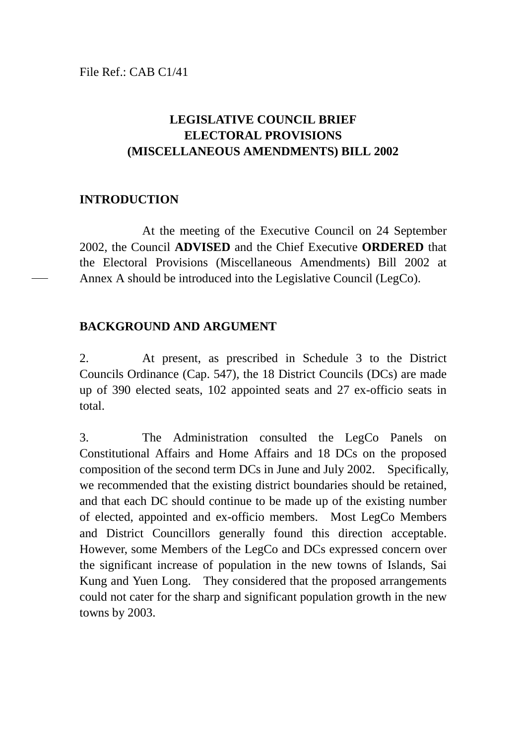File Ref.: CAB C1/41

# **LEGISLATIVE COUNCIL BRIEF ELECTORAL PROVISIONS (MISCELLANEOUS AMENDMENTS) BILL 2002**

## **INTRODUCTION**

At the meeting of the Executive Council on 24 September 2002, the Council **ADVISED** and the Chief Executive **ORDERED** that the Electoral Provisions (Miscellaneous Amendments) Bill 2002 at Annex A should be introduced into the Legislative Council (LegCo).

### **BACKGROUND AND ARGUMENT**

2. At present, as prescribed in Schedule 3 to the District Councils Ordinance (Cap. 547), the 18 District Councils (DCs) are made up of 390 elected seats, 102 appointed seats and 27 ex-officio seats in total.

3. The Administration consulted the LegCo Panels on Constitutional Affairs and Home Affairs and 18 DCs on the proposed composition of the second term DCs in June and July 2002. Specifically, we recommended that the existing district boundaries should be retained, and that each DC should continue to be made up of the existing number of elected, appointed and ex-officio members. Most LegCo Members and District Councillors generally found this direction acceptable. However, some Members of the LegCo and DCs expressed concern over the significant increase of population in the new towns of Islands, Sai Kung and Yuen Long. They considered that the proposed arrangements could not cater for the sharp and significant population growth in the new towns by 2003.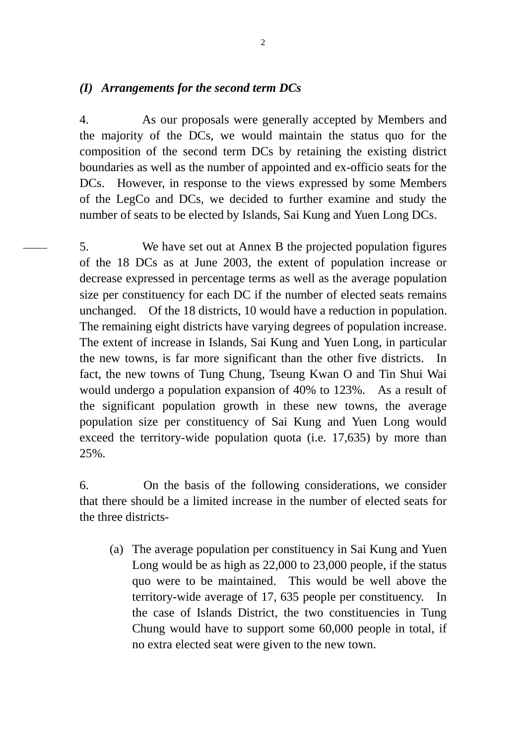### *(I) Arrangements for the second term DCs*

4. As our proposals were generally accepted by Members and the majority of the DCs, we would maintain the status quo for the composition of the second term DCs by retaining the existing district boundaries as well as the number of appointed and ex-officio seats for the DCs. However, in response to the views expressed by some Members of the LegCo and DCs, we decided to further examine and study the number of seats to be elected by Islands, Sai Kung and Yuen Long DCs.

5. We have set out at Annex B the projected population figures of the 18 DCs as at June 2003, the extent of population increase or decrease expressed in percentage terms as well as the average population size per constituency for each DC if the number of elected seats remains unchanged. Of the 18 districts, 10 would have a reduction in population. The remaining eight districts have varying degrees of population increase. The extent of increase in Islands, Sai Kung and Yuen Long, in particular the new towns, is far more significant than the other five districts. In fact, the new towns of Tung Chung, Tseung Kwan O and Tin Shui Wai would undergo a population expansion of 40% to 123%. As a result of the significant population growth in these new towns, the average population size per constituency of Sai Kung and Yuen Long would exceed the territory-wide population quota (i.e. 17,635) by more than 25%.

6. On the basis of the following considerations, we consider that there should be a limited increase in the number of elected seats for the three districts-

(a) The average population per constituency in Sai Kung and Yuen Long would be as high as 22,000 to 23,000 people, if the status quo were to be maintained. This would be well above the territory-wide average of 17, 635 people per constituency. In the case of Islands District, the two constituencies in Tung Chung would have to support some 60,000 people in total, if no extra elected seat were given to the new town.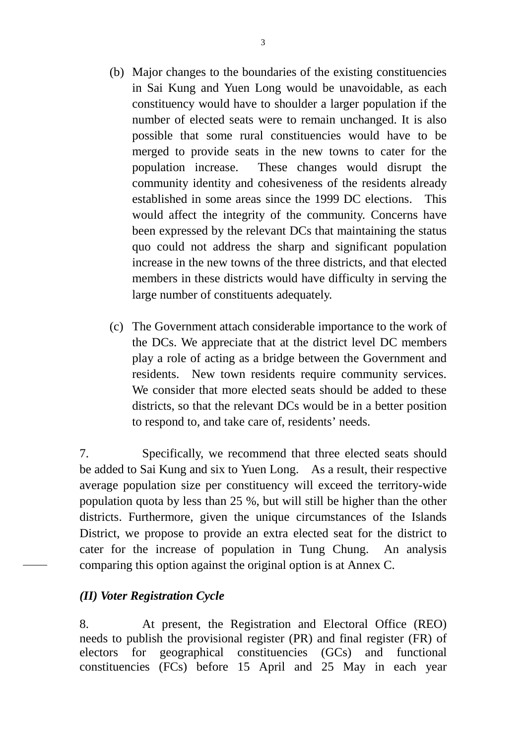- (b) Major changes to the boundaries of the existing constituencies in Sai Kung and Yuen Long would be unavoidable, as each constituency would have to shoulder a larger population if the number of elected seats were to remain unchanged. It is also possible that some rural constituencies would have to be merged to provide seats in the new towns to cater for the population increase. These changes would disrupt the community identity and cohesiveness of the residents already established in some areas since the 1999 DC elections. This would affect the integrity of the community. Concerns have been expressed by the relevant DCs that maintaining the status quo could not address the sharp and significant population increase in the new towns of the three districts, and that elected members in these districts would have difficulty in serving the large number of constituents adequately.
- (c) The Government attach considerable importance to the work of the DCs. We appreciate that at the district level DC members play a role of acting as a bridge between the Government and residents. New town residents require community services. We consider that more elected seats should be added to these districts, so that the relevant DCs would be in a better position to respond to, and take care of, residents' needs.

7. Specifically, we recommend that three elected seats should be added to Sai Kung and six to Yuen Long. As a result, their respective average population size per constituency will exceed the territory-wide population quota by less than 25 %, but will still be higher than the other districts. Furthermore, given the unique circumstances of the Islands District, we propose to provide an extra elected seat for the district to cater for the increase of population in Tung Chung. An analysis comparing this option against the original option is at Annex C.

### *(II) Voter Registration Cycle*

8. At present, the Registration and Electoral Office (REO) needs to publish the provisional register (PR) and final register (FR) of electors for geographical constituencies (GCs) and functional constituencies (FCs) before 15 April and 25 May in each year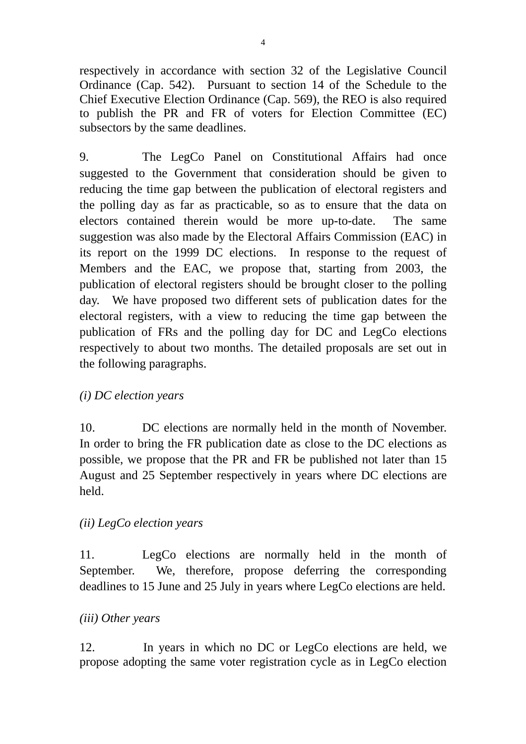respectively in accordance with section 32 of the Legislative Council Ordinance (Cap. 542). Pursuant to section 14 of the Schedule to the Chief Executive Election Ordinance (Cap. 569), the REO is also required to publish the PR and FR of voters for Election Committee (EC) subsectors by the same deadlines.

9. The LegCo Panel on Constitutional Affairs had once suggested to the Government that consideration should be given to reducing the time gap between the publication of electoral registers and the polling day as far as practicable, so as to ensure that the data on electors contained therein would be more up-to-date. The same suggestion was also made by the Electoral Affairs Commission (EAC) in its report on the 1999 DC elections. In response to the request of Members and the EAC, we propose that, starting from 2003, the publication of electoral registers should be brought closer to the polling day. We have proposed two different sets of publication dates for the electoral registers, with a view to reducing the time gap between the publication of FRs and the polling day for DC and LegCo elections respectively to about two months. The detailed proposals are set out in the following paragraphs.

## *(i) DC election years*

10. DC elections are normally held in the month of November. In order to bring the FR publication date as close to the DC elections as possible, we propose that the PR and FR be published not later than 15 August and 25 September respectively in years where DC elections are held.

## *(ii) LegCo election years*

11. LegCo elections are normally held in the month of September. We, therefore, propose deferring the corresponding deadlines to 15 June and 25 July in years where LegCo elections are held.

### *(iii) Other years*

12. In years in which no DC or LegCo elections are held, we propose adopting the same voter registration cycle as in LegCo election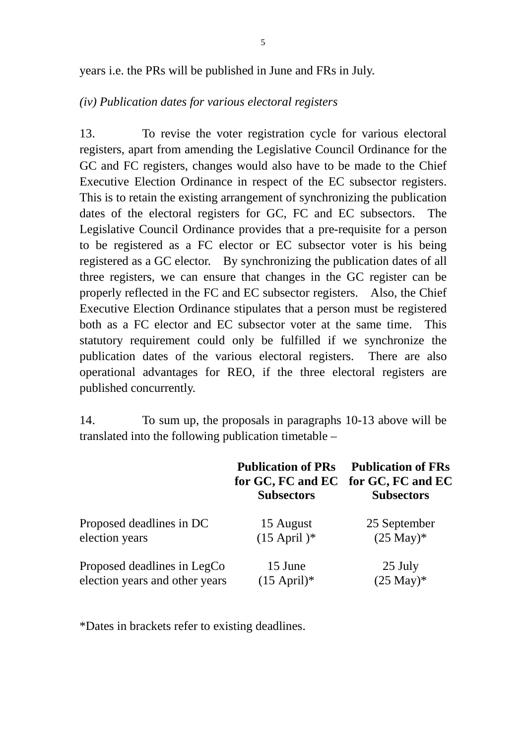years i.e. the PRs will be published in June and FRs in July.

### *(iv) Publication dates for various electoral registers*

13. To revise the voter registration cycle for various electoral registers, apart from amending the Legislative Council Ordinance for the GC and FC registers, changes would also have to be made to the Chief Executive Election Ordinance in respect of the EC subsector registers. This is to retain the existing arrangement of synchronizing the publication dates of the electoral registers for GC, FC and EC subsectors. The Legislative Council Ordinance provides that a pre-requisite for a person to be registered as a FC elector or EC subsector voter is his being registered as a GC elector. By synchronizing the publication dates of all three registers, we can ensure that changes in the GC register can be properly reflected in the FC and EC subsector registers. Also, the Chief Executive Election Ordinance stipulates that a person must be registered both as a FC elector and EC subsector voter at the same time. This statutory requirement could only be fulfilled if we synchronize the publication dates of the various electoral registers. There are also operational advantages for REO, if the three electoral registers are published concurrently.

14. To sum up, the proposals in paragraphs 10-13 above will be translated into the following publication timetable –

|                                | <b>Publication of PRs</b><br>for GC, FC and EC for GC, FC and EC<br><b>Subsectors</b> | <b>Publication of FRs</b><br><b>Subsectors</b> |
|--------------------------------|---------------------------------------------------------------------------------------|------------------------------------------------|
| Proposed deadlines in DC       | 15 August                                                                             | 25 September                                   |
| election years                 | $(15$ April)*                                                                         | $(25 \text{ May})^*$                           |
| Proposed deadlines in LegCo    | 15 June                                                                               | 25 July                                        |
| election years and other years | $(15$ April)*                                                                         | $(25 \text{ May})^*$                           |

\*Dates in brackets refer to existing deadlines.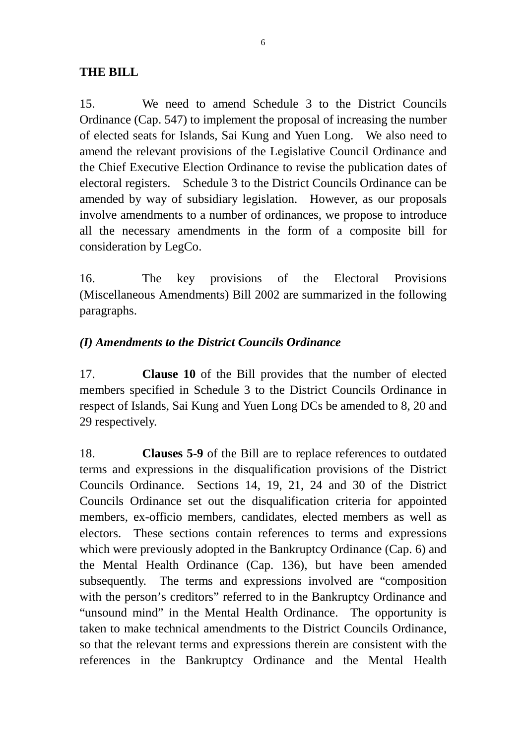## **THE BILL**

15. We need to amend Schedule 3 to the District Councils Ordinance (Cap. 547) to implement the proposal of increasing the number of elected seats for Islands, Sai Kung and Yuen Long. We also need to amend the relevant provisions of the Legislative Council Ordinance and the Chief Executive Election Ordinance to revise the publication dates of electoral registers. Schedule 3 to the District Councils Ordinance can be amended by way of subsidiary legislation. However, as our proposals involve amendments to a number of ordinances, we propose to introduce all the necessary amendments in the form of a composite bill for consideration by LegCo.

16. The key provisions of the Electoral Provisions (Miscellaneous Amendments) Bill 2002 are summarized in the following paragraphs.

## *(I) Amendments to the District Councils Ordinance*

17. **Clause 10** of the Bill provides that the number of elected members specified in Schedule 3 to the District Councils Ordinance in respect of Islands, Sai Kung and Yuen Long DCs be amended to 8, 20 and 29 respectively.

18. **Clauses 5-9** of the Bill are to replace references to outdated terms and expressions in the disqualification provisions of the District Councils Ordinance. Sections 14, 19, 21, 24 and 30 of the District Councils Ordinance set out the disqualification criteria for appointed members, ex-officio members, candidates, elected members as well as electors. These sections contain references to terms and expressions which were previously adopted in the Bankruptcy Ordinance (Cap. 6) and the Mental Health Ordinance (Cap. 136), but have been amended subsequently. The terms and expressions involved are "composition with the person's creditors" referred to in the Bankruptcy Ordinance and "unsound mind" in the Mental Health Ordinance. The opportunity is taken to make technical amendments to the District Councils Ordinance, so that the relevant terms and expressions therein are consistent with the references in the Bankruptcy Ordinance and the Mental Health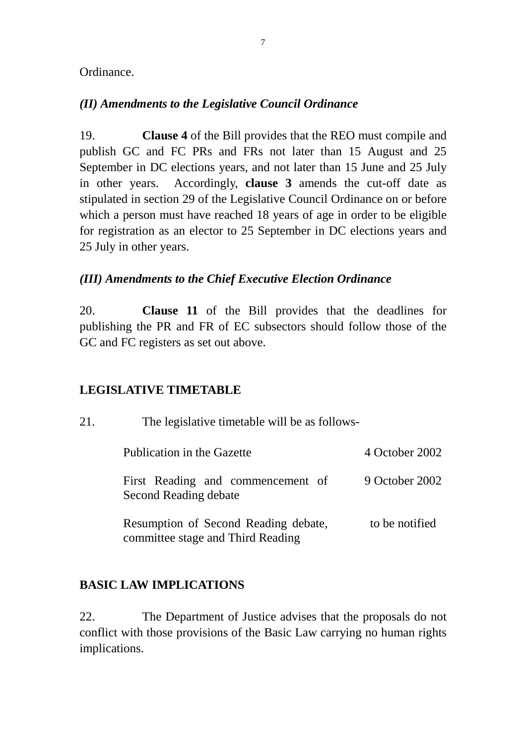### Ordinance.

## *(II) Amendments to the Legislative Council Ordinance*

19. **Clause 4** of the Bill provides that the REO must compile and publish GC and FC PRs and FRs not later than 15 August and 25 September in DC elections years, and not later than 15 June and 25 July in other years. Accordingly, **clause 3** amends the cut-off date as stipulated in section 29 of the Legislative Council Ordinance on or before which a person must have reached 18 years of age in order to be eligible for registration as an elector to 25 September in DC elections years and 25 July in other years.

## *(III) Amendments to the Chief Executive Election Ordinance*

20. **Clause 11** of the Bill provides that the deadlines for publishing the PR and FR of EC subsectors should follow those of the GC and FC registers as set out above.

## **LEGISLATIVE TIMETABLE**

| 21. | The legislative timetable will be as follows-                             |                |  |  |
|-----|---------------------------------------------------------------------------|----------------|--|--|
|     | Publication in the Gazette                                                | 4 October 2002 |  |  |
|     | First Reading and commencement of<br>Second Reading debate                | 9 October 2002 |  |  |
|     | Resumption of Second Reading debate,<br>committee stage and Third Reading | to be notified |  |  |

# **BASIC LAW IMPLICATIONS**

22. The Department of Justice advises that the proposals do not conflict with those provisions of the Basic Law carrying no human rights implications.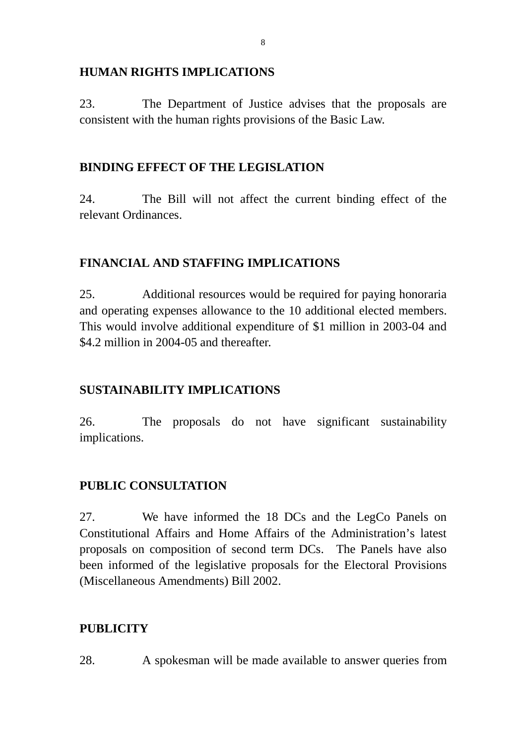## **HUMAN RIGHTS IMPLICATIONS**

23. The Department of Justice advises that the proposals are consistent with the human rights provisions of the Basic Law.

## **BINDING EFFECT OF THE LEGISLATION**

24. The Bill will not affect the current binding effect of the relevant Ordinances.

## **FINANCIAL AND STAFFING IMPLICATIONS**

25. Additional resources would be required for paying honoraria and operating expenses allowance to the 10 additional elected members. This would involve additional expenditure of \$1 million in 2003-04 and \$4.2 million in 2004-05 and thereafter.

## **SUSTAINABILITY IMPLICATIONS**

26. The proposals do not have significant sustainability implications.

# **PUBLIC CONSULTATION**

27. We have informed the 18 DCs and the LegCo Panels on Constitutional Affairs and Home Affairs of the Administration's latest proposals on composition of second term DCs. The Panels have also been informed of the legislative proposals for the Electoral Provisions (Miscellaneous Amendments) Bill 2002.

# **PUBLICITY**

28. A spokesman will be made available to answer queries from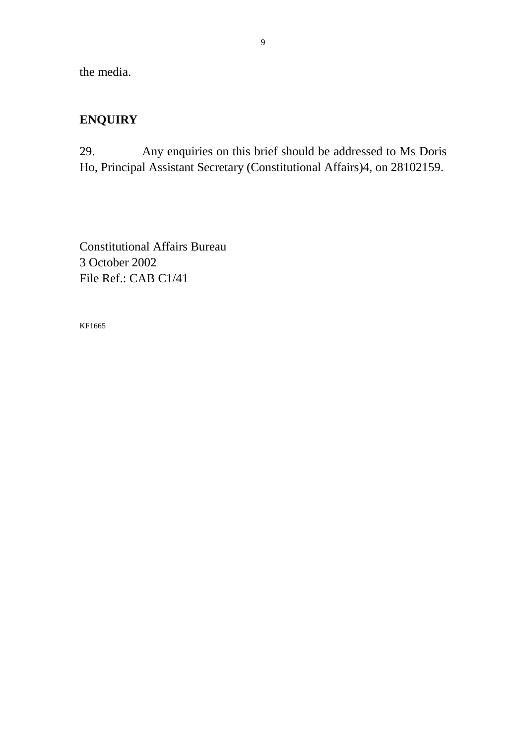the media.

# **ENQUIRY**

29. Any enquiries on this brief should be addressed to Ms Doris Ho, Principal Assistant Secretary (Constitutional Affairs)4, on 28102159.

Constitutional Affairs Bureau 3 October 2002 File Ref.: CAB C1/41

KF1665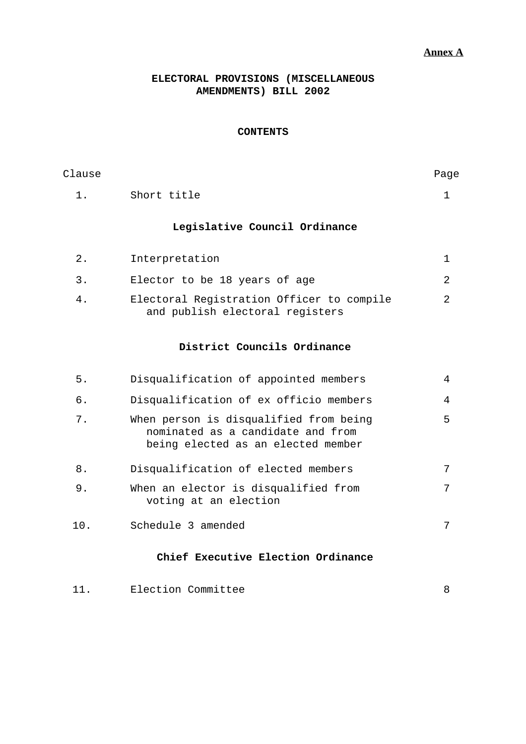### **Annex A**

### **ELECTORAL PROVISIONS (MISCELLANEOUS AMENDMENTS) BILL 2002**

### **CONTENTS**

| Clause |                                                                              | Page |
|--------|------------------------------------------------------------------------------|------|
| 1.     | Short title                                                                  |      |
|        | Legislative Council Ordinance                                                |      |
| 2.     | Interpretation                                                               |      |
| 3.     | Elector to be 18 years of age                                                | 2    |
| 4.     | Electoral Registration Officer to compile<br>and publish electoral registers | 2    |

### **District Councils Ordinance**

| 5.  | Disqualification of appointed members                                                                             | 4 |
|-----|-------------------------------------------------------------------------------------------------------------------|---|
| б.  | Disqualification of ex officio members                                                                            | 4 |
| 7.  | When person is disqualified from being<br>nominated as a candidate and from<br>being elected as an elected member | 5 |
| 8.  | Disqualification of elected members                                                                               | 7 |
| 9.  | When an elector is disqualified from<br>voting at an election                                                     | 7 |
| 10. | Schedule 3 amended                                                                                                | 7 |
|     | Chief Executive Election Ordinance                                                                                |   |

11. Election Committee 8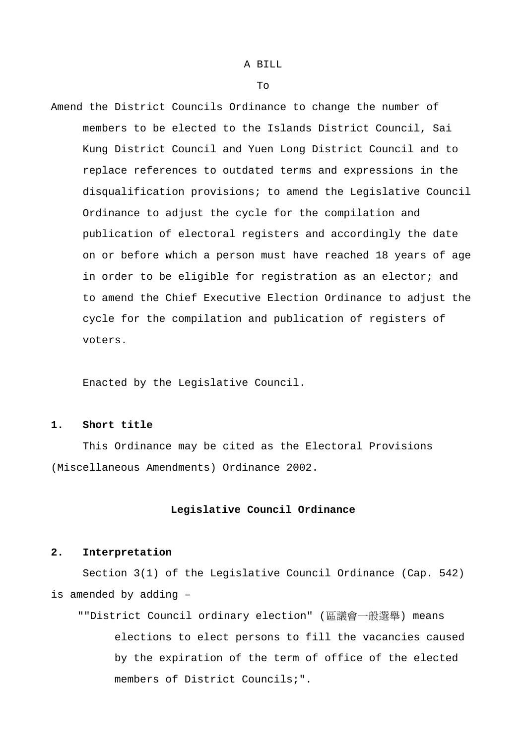### A BILL

 $To$ 

Amend the District Councils Ordinance to change the number of members to be elected to the Islands District Council, Sai Kung District Council and Yuen Long District Council and to replace references to outdated terms and expressions in the disqualification provisions; to amend the Legislative Council Ordinance to adjust the cycle for the compilation and publication of electoral registers and accordingly the date on or before which a person must have reached 18 years of age in order to be eligible for registration as an elector; and to amend the Chief Executive Election Ordinance to adjust the cycle for the compilation and publication of registers of voters.

Enacted by the Legislative Council.

#### **1. Short title**

This Ordinance may be cited as the Electoral Provisions (Miscellaneous Amendments) Ordinance 2002.

#### **Legislative Council Ordinance**

#### **2. Interpretation**

Section 3(1) of the Legislative Council Ordinance (Cap. 542) is amended by adding –

""District Council ordinary election" (區議會一般選舉) means elections to elect persons to fill the vacancies caused by the expiration of the term of office of the elected members of District Councils;".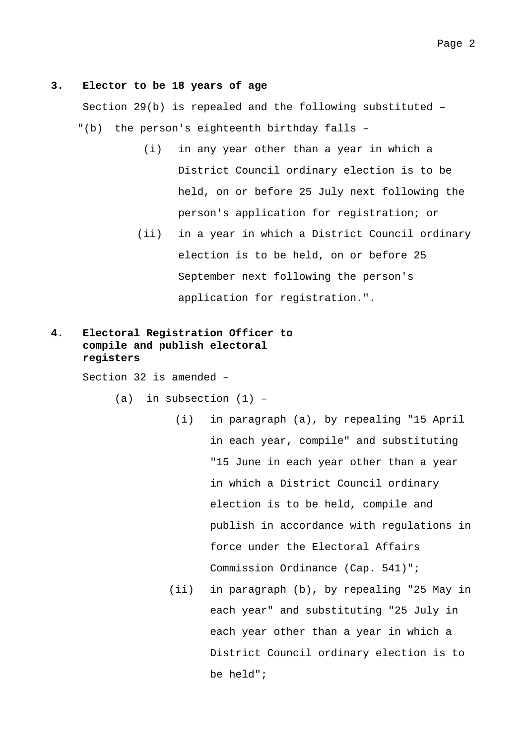#### **3. Elector to be 18 years of age**

Section 29(b) is repealed and the following substituted – "(b) the person's eighteenth birthday falls –

- (i) in any year other than a year in which a District Council ordinary election is to be held, on or before 25 July next following the person's application for registration; or
- (ii) in a year in which a District Council ordinary election is to be held, on or before 25 September next following the person's application for registration.".

### **4. Electoral Registration Officer to compile and publish electoral registers**

Section 32 is amended –

 $(a)$  in subsection  $(1)$  -

- (i) in paragraph (a), by repealing "15 April in each year, compile" and substituting "15 June in each year other than a year in which a District Council ordinary election is to be held, compile and publish in accordance with regulations in force under the Electoral Affairs Commission Ordinance (Cap. 541)";
- (ii) in paragraph (b), by repealing "25 May in each year" and substituting "25 July in each year other than a year in which a District Council ordinary election is to be held";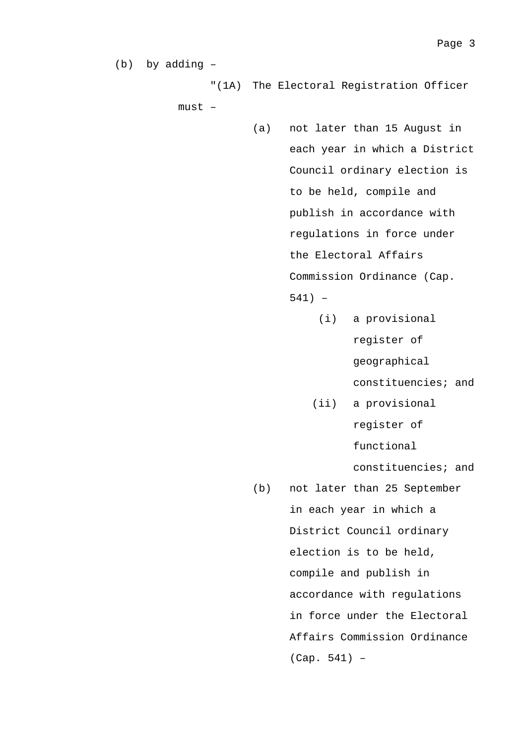(b) by adding –

"(1A) The Electoral Registration Officer

must –

- (a) not later than 15 August in each year in which a District Council ordinary election is to be held, compile and publish in accordance with regulations in force under the Electoral Affairs Commission Ordinance (Cap. 541) –
	- (i) a provisional register of geographical constituencies; and
	- (ii) a provisional register of functional

constituencies; and

(b) not later than 25 September in each year in which a District Council ordinary election is to be held, compile and publish in accordance with regulations in force under the Electoral Affairs Commission Ordinance (Cap. 541) –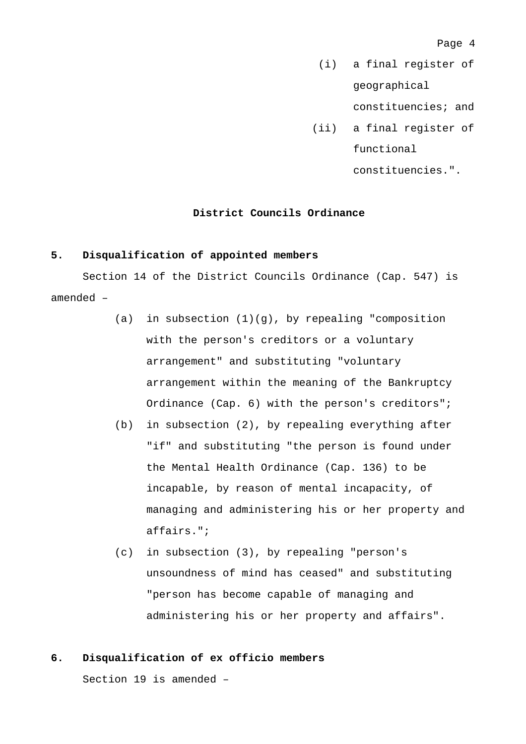(i) a final register of geographical

constituencies; and

- (ii) a final register of functional
	- constituencies.".

### **District Councils Ordinance**

#### **5. Disqualification of appointed members**

Section 14 of the District Councils Ordinance (Cap. 547) is amended –

- (a) in subsection  $(1)(g)$ , by repealing "composition with the person's creditors or a voluntary arrangement" and substituting "voluntary arrangement within the meaning of the Bankruptcy Ordinance (Cap. 6) with the person's creditors";
- (b) in subsection (2), by repealing everything after "if" and substituting "the person is found under the Mental Health Ordinance (Cap. 136) to be incapable, by reason of mental incapacity, of managing and administering his or her property and affairs.";
- (c) in subsection (3), by repealing "person's unsoundness of mind has ceased" and substituting "person has become capable of managing and administering his or her property and affairs".

### **6. Disqualification of ex officio members**

Section 19 is amended –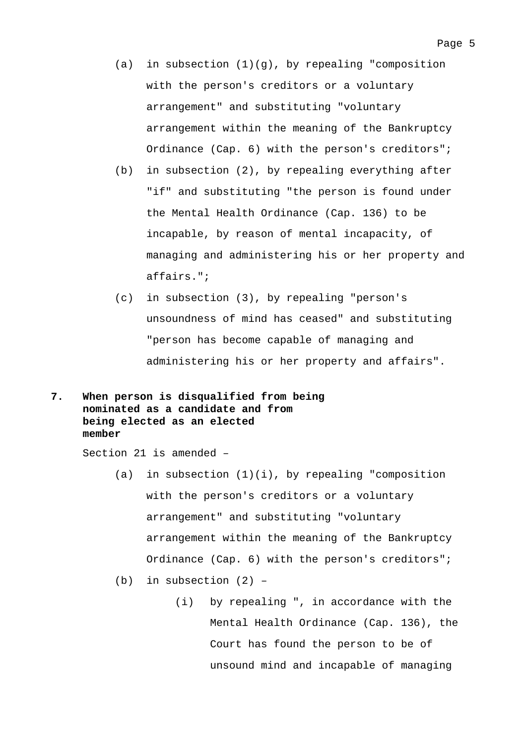- $(a)$  in subsection  $(1)(q)$ , by repealing "composition with the person's creditors or a voluntary arrangement" and substituting "voluntary arrangement within the meaning of the Bankruptcy Ordinance (Cap. 6) with the person's creditors";
- (b) in subsection (2), by repealing everything after "if" and substituting "the person is found under the Mental Health Ordinance (Cap. 136) to be incapable, by reason of mental incapacity, of managing and administering his or her property and affairs.";
- (c) in subsection (3), by repealing "person's unsoundness of mind has ceased" and substituting "person has become capable of managing and administering his or her property and affairs".
- **7. When person is disqualified from being nominated as a candidate and from being elected as an elected member**

Section 21 is amended –

- (a) in subsection  $(1)(i)$ , by repealing "composition with the person's creditors or a voluntary arrangement" and substituting "voluntary arrangement within the meaning of the Bankruptcy Ordinance (Cap. 6) with the person's creditors";
- (b) in subsection (2)
	- (i) by repealing ", in accordance with the Mental Health Ordinance (Cap. 136), the Court has found the person to be of unsound mind and incapable of managing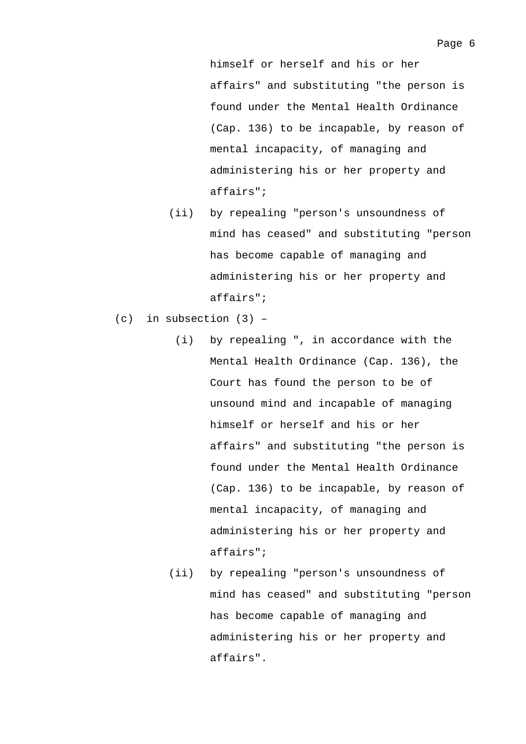himself or herself and his or her affairs" and substituting "the person is found under the Mental Health Ordinance (Cap. 136) to be incapable, by reason of mental incapacity, of managing and administering his or her property and affairs";

- (ii) by repealing "person's unsoundness of mind has ceased" and substituting "person has become capable of managing and administering his or her property and affairs";
- (c) in subsection (3)
	- (i) by repealing ", in accordance with the Mental Health Ordinance (Cap. 136), the Court has found the person to be of unsound mind and incapable of managing himself or herself and his or her affairs" and substituting "the person is found under the Mental Health Ordinance (Cap. 136) to be incapable, by reason of mental incapacity, of managing and administering his or her property and affairs";
	- (ii) by repealing "person's unsoundness of mind has ceased" and substituting "person has become capable of managing and administering his or her property and affairs".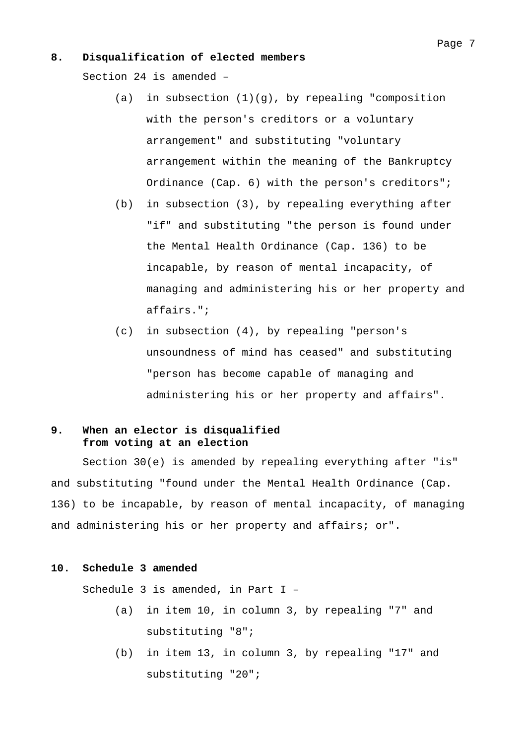#### **8. Disqualification of elected members**

Section 24 is amended –

- (a) in subsection  $(1)(g)$ , by repealing "composition with the person's creditors or a voluntary arrangement" and substituting "voluntary arrangement within the meaning of the Bankruptcy Ordinance (Cap. 6) with the person's creditors";
- (b) in subsection (3), by repealing everything after "if" and substituting "the person is found under the Mental Health Ordinance (Cap. 136) to be incapable, by reason of mental incapacity, of managing and administering his or her property and affairs.";
- (c) in subsection (4), by repealing "person's unsoundness of mind has ceased" and substituting "person has become capable of managing and administering his or her property and affairs".

### **9. When an elector is disqualified from voting at an election**

Section 30(e) is amended by repealing everything after "is" and substituting "found under the Mental Health Ordinance (Cap. 136) to be incapable, by reason of mental incapacity, of managing and administering his or her property and affairs; or".

#### **10. Schedule 3 amended**

Schedule 3 is amended, in Part I –

- (a) in item 10, in column 3, by repealing "7" and substituting "8";
- (b) in item 13, in column 3, by repealing "17" and substituting "20";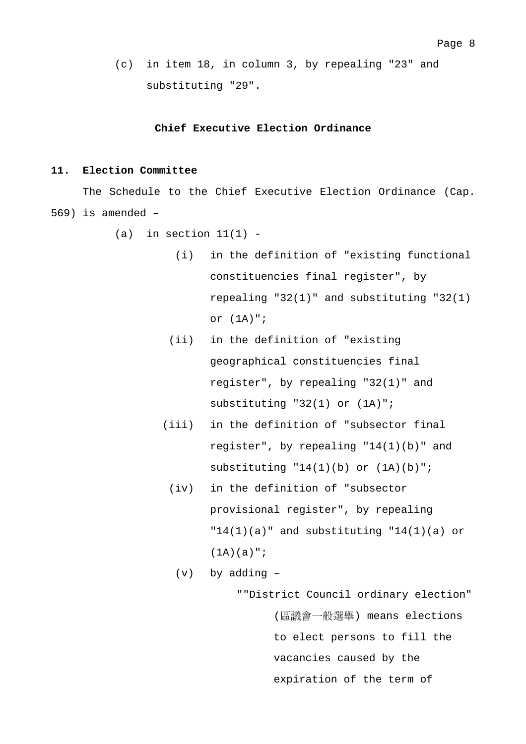- Page 8
- (c) in item 18, in column 3, by repealing "23" and substituting "29".

#### **Chief Executive Election Ordinance**

### **11. Election Committee**

The Schedule to the Chief Executive Election Ordinance (Cap. 569) is amended –

- $(a)$  in section  $11(1)$  -
	- (i) in the definition of "existing functional constituencies final register", by repealing "32(1)" and substituting "32(1) or (1A)";
	- (ii) in the definition of "existing geographical constituencies final register", by repealing "32(1)" and substituting "32(1) or (1A)";
	- (iii) in the definition of "subsector final register", by repealing "14(1)(b)" and substituting  $"14(1)(b)$  or  $(1A)(b) "i$ 
		- (iv) in the definition of "subsector provisional register", by repealing  $"14(1)(a)"$  and substituting  $"14(1)(a)$  or  $(1A)(a)$ ";

(v) by adding –

""District Council ordinary election" (區議會一般選舉) means elections to elect persons to fill the vacancies caused by the expiration of the term of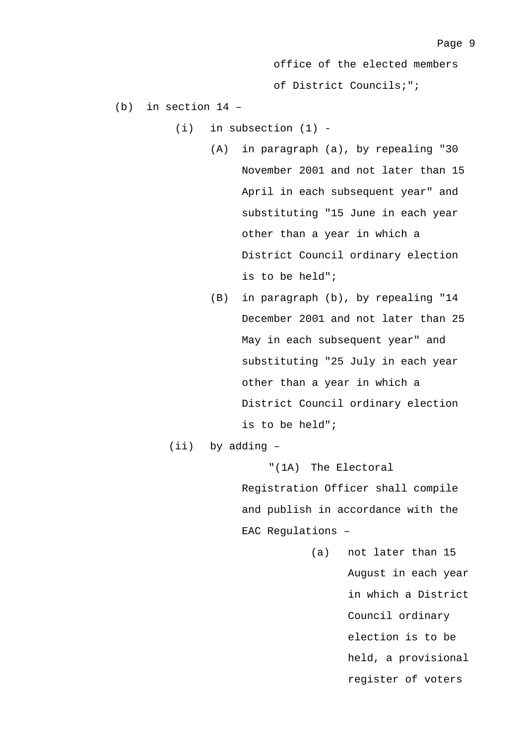office of the elected members

of District Councils;";

- (b) in section 14
	- $(i)$  in subsection  $(1)$  -
		- (A) in paragraph (a), by repealing "30 November 2001 and not later than 15 April in each subsequent year" and substituting "15 June in each year other than a year in which a District Council ordinary election is to be held";
		- (B) in paragraph (b), by repealing "14 December 2001 and not later than 25 May in each subsequent year" and substituting "25 July in each year other than a year in which a District Council ordinary election is to be held";

(ii) by adding –

"(1A) The Electoral Registration Officer shall compile and publish in accordance with the EAC Regulations –

> (a) not later than 15 August in each year in which a District Council ordinary election is to be held, a provisional register of voters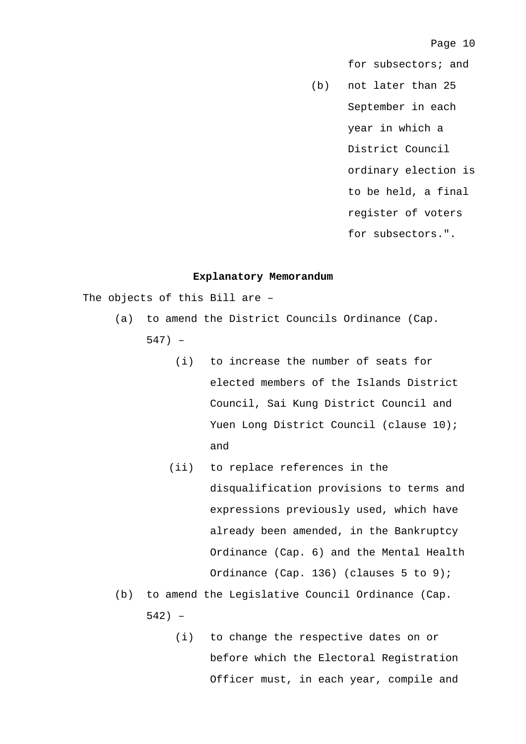for subsectors; and

(b) not later than 25 September in each year in which a District Council ordinary election is to be held, a final register of voters for subsectors.".

#### **Explanatory Memorandum**

The objects of this Bill are –

- (a) to amend the District Councils Ordinance (Cap.
	- 547)
		- (i) to increase the number of seats for elected members of the Islands District Council, Sai Kung District Council and Yuen Long District Council (clause 10); and
		- (ii) to replace references in the disqualification provisions to terms and expressions previously used, which have already been amended, in the Bankruptcy Ordinance (Cap. 6) and the Mental Health Ordinance (Cap. 136) (clauses 5 to 9);
- (b) to amend the Legislative Council Ordinance (Cap. 542) –
	- (i) to change the respective dates on or before which the Electoral Registration Officer must, in each year, compile and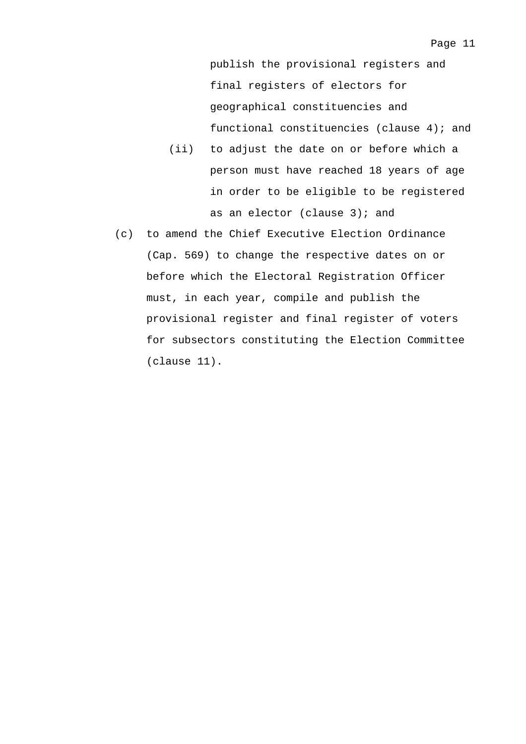publish the provisional registers and final registers of electors for geographical constituencies and functional constituencies (clause 4); and

- (ii) to adjust the date on or before which a person must have reached 18 years of age in order to be eligible to be registered as an elector (clause 3); and
- (c) to amend the Chief Executive Election Ordinance (Cap. 569) to change the respective dates on or before which the Electoral Registration Officer must, in each year, compile and publish the provisional register and final register of voters for subsectors constituting the Election Committee (clause 11).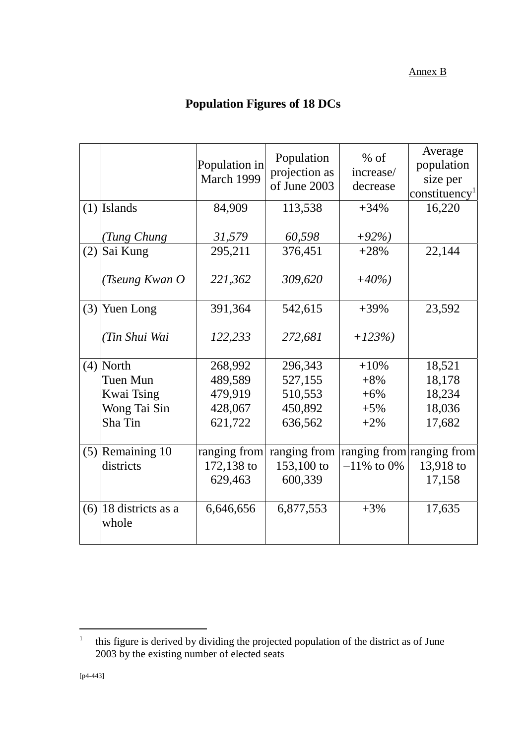### Annex B

# **Population Figures of 18 DCs**

|     |                                  | Population in<br>March 1999 | Population<br>projection as<br>of June 2003 | $%$ of<br>increase/<br>decrease | Average<br>population<br>size per<br>constituency <sup>1</sup> |
|-----|----------------------------------|-----------------------------|---------------------------------------------|---------------------------------|----------------------------------------------------------------|
|     | $(1)$ Islands                    | 84,909                      | 113,538                                     | $+34%$                          | 16,220                                                         |
|     | (Tung Chung                      | 31,579                      | 60,598                                      | $+92%$                          |                                                                |
|     | $(2)$ Sai Kung                   | 295,211                     | 376,451                                     | $+28%$                          | 22,144                                                         |
|     | (Tseung Kwan O                   | 221,362                     | 309,620                                     | $+40%$                          |                                                                |
| (3) | Yuen Long                        | 391,364                     | 542,615                                     | $+39%$                          | 23,592                                                         |
|     | (Tin Shui Wai                    | 122,233                     | 272,681                                     | $+123%$                         |                                                                |
|     | $(4)$ North                      | 268,992                     | 296,343                                     | $+10%$                          | 18,521                                                         |
|     | Tuen Mun                         | 489,589                     | 527,155                                     | $+8%$                           | 18,178                                                         |
|     | <b>Kwai Tsing</b>                | 479,919                     | 510,553                                     | $+6%$                           | 18,234                                                         |
|     | Wong Tai Sin                     | 428,067                     | 450,892                                     | $+5%$                           | 18,036                                                         |
|     | Sha Tin                          | 621,722                     | 636,562                                     | $+2\%$                          | 17,682                                                         |
|     | $(5)$ Remaining 10               | ranging from                | ranging from ranging from ranging from      |                                 |                                                                |
|     | districts                        | 172,138 to                  | 153,100 to                                  | $-11\%$ to 0%                   | 13,918 to                                                      |
|     |                                  | 629,463                     | 600,339                                     |                                 | 17,158                                                         |
|     |                                  |                             |                                             |                                 |                                                                |
|     | $(6)$ 18 districts as a<br>whole | 6,646,656                   | 6,877,553                                   | $+3%$                           | 17,635                                                         |
|     |                                  |                             |                                             |                                 |                                                                |

 $\overline{a}$ 

<sup>1</sup> this figure is derived by dividing the projected population of the district as of June 2003 by the existing number of elected seats